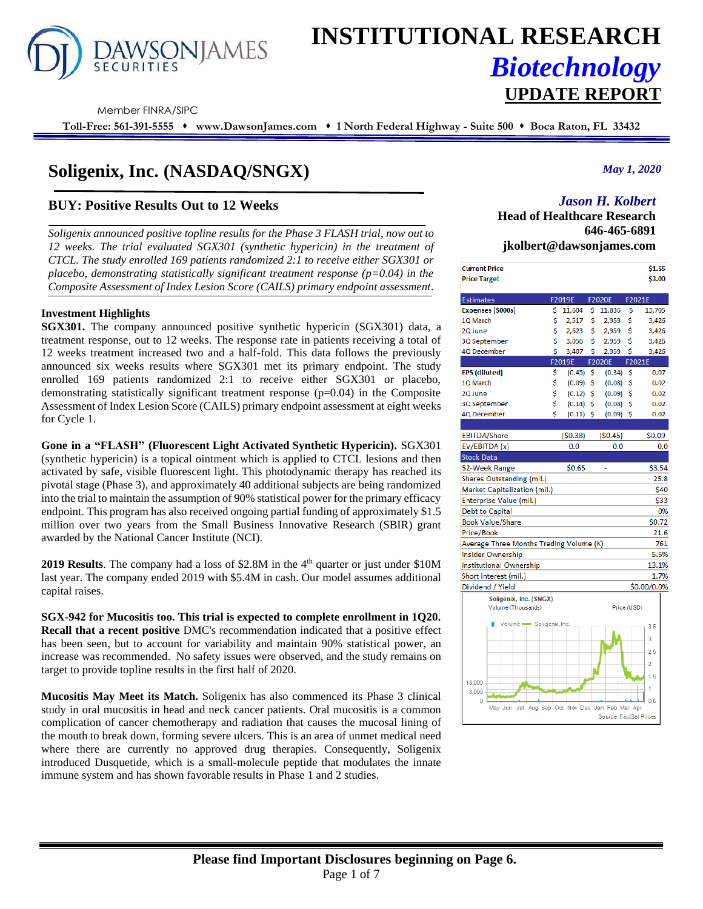

# **INSTITUTIONAL RESEARCH** *Biotechnology* **UPDATE REPORT**

Member FINRA/SIPC

**Toll-Free: 561-391-5555** ⬧ **www.DawsonJames.com** ⬧ **1 North Federal Highway - Suite 500** ⬧ **Boca Raton, FL 33432**

# **Soligenix, Inc. (NASDAQ/SNGX)**

## **BUY: Positive Results Out to 12 Weeks**

*Soligenix announced positive topline results for the Phase 3 FLASH trial, now out to 12 weeks. The trial evaluated SGX301 (synthetic hypericin) in the treatment of CTCL. The study enrolled 169 patients randomized 2:1 to receive either SGX301 or placebo, demonstrating statistically significant treatment response (p=0.04) in the Composite Assessment of Index Lesion Score (CAILS) primary endpoint assessment.*

#### **Investment Highlights**

**SGX301.** The company announced positive synthetic hypericin (SGX301) data, a treatment response, out to 12 weeks. The response rate in patients receiving a total of 12 weeks treatment increased two and a half-fold. This data follows the previously announced six weeks results where SGX301 met its primary endpoint. The study enrolled 169 patients randomized 2:1 to receive either SGX301 or placebo, demonstrating statistically significant treatment response (p=0.04) in the Composite Assessment of Index Lesion Score (CAILS) primary endpoint assessment at eight weeks for Cycle 1.

**Gone in a "FLASH" (Fluorescent Light Activated Synthetic Hypericin).** SGX301 (synthetic hypericin) is a topical ointment which is applied to CTCL lesions and then activated by safe, visible fluorescent light. This photodynamic therapy has reached its pivotal stage (Phase 3), and approximately 40 additional subjects are being randomized into the trial to maintain the assumption of 90% statistical power for the primary efficacy endpoint. This program has also received ongoing partial funding of approximately \$1.5 million over two years from the Small Business Innovative Research (SBIR) grant awarded by the National Cancer Institute (NCI).

2019 Results. The company had a loss of \$2.8M in the 4<sup>th</sup> quarter or just under \$10M last year. The company ended 2019 with \$5.4M in cash. Our model assumes additional capital raises.

**SGX-942 for Mucositis too. This trial is expected to complete enrollment in 1Q20. Recall that a recent positive** DMC's recommendation indicated that a positive effect has been seen, but to account for variability and maintain 90% statistical power, an increase was recommended. No safety issues were observed, and the study remains on target to provide topline results in the first half of 2020.

**Mucositis May Meet its Match.** Soligenix has also commenced its Phase 3 clinical study in oral mucositis in head and neck cancer patients. Oral mucositis is a common complication of cancer chemotherapy and radiation that causes the mucosal lining of the mouth to break down, forming severe ulcers. This is an area of unmet medical need where there are currently no approved drug therapies. Consequently, Soligenix introduced Dusquetide, which is a small-molecule peptide that modulates the innate immune system and has shown favorable results in Phase 1 and 2 studies.

*May 1, 2020*

# *Jason H. Kolbert*

**Head of Healthcare Research 646-465-6891 jkolbert@dawsonjames.com**

| <b>Current Price</b>                            |     |                                  |     |                                  |             | \$1.55         |
|-------------------------------------------------|-----|----------------------------------|-----|----------------------------------|-------------|----------------|
| <b>Price Target</b>                             |     |                                  |     |                                  |             | \$3.00         |
|                                                 |     |                                  |     |                                  |             |                |
| <b>Estimates</b>                                |     | F2019E                           |     | F2020E                           |             | F2021E         |
| Expenses (\$000s)                               | \$. | 11,604                           | \$  | 11,836                           | \$          | 13,705         |
| 1Q March                                        | \$  | 2,517                            | \$  | 2,959                            | \$          | 3,426          |
| 2Q June                                         | Ś   | 2,623                            | \$. | 2,959                            | \$          | 3,426          |
| 3Q September                                    | \$  | 3,056                            | \$  | 2,959                            | \$          | 3,426          |
| 4Q December                                     | \$  | 3,407                            | Ś   | 2,959                            | Ś           | 3,426          |
|                                                 |     | F2019E<br><b>Service Service</b> |     | F2020E<br><b>Service Service</b> |             | F2021E         |
| <b>EPS</b> (diluted)                            | \$  | $(0.45)$ \$                      |     | (0.34)                           | \$          | 0.07           |
| 1Q March                                        | \$  | $(0.09)$ \$                      |     | (0.08)                           | \$          | 0.02           |
| 2Q June                                         | \$  | $(0.12)$ \$                      |     | $(0.09)$ \$                      |             | 0.02           |
| 3Q September                                    | \$  | $(0.14)$ \$                      |     | (0.08)                           | \$          | 0.02           |
| 4Q December                                     | Ś   | $(0.11)$ \$                      |     | $(0.09)$ \$                      |             | 0.02           |
|                                                 |     |                                  |     |                                  |             |                |
| <b>EBITDA/Share</b>                             |     | (50.38)                          |     | (50.45)                          |             | \$0.09         |
| EV/EBITDA (x)                                   |     | 0.0                              |     | 0.0                              |             | 0.0            |
| <b>Stock Data</b>                               |     |                                  |     |                                  |             |                |
| 52-Week Range                                   |     | \$0.65                           |     |                                  |             | \$3.54         |
| Shares Outstanding (mil.)                       |     |                                  |     |                                  |             | 25.8           |
| Market Capitalization (mil.)                    |     |                                  |     |                                  |             | \$40           |
| Enterprise Value (mil.)                         |     |                                  |     |                                  |             | \$33           |
| <b>Debt to Capital</b>                          |     |                                  |     |                                  |             | 0%             |
| <b>Book Value/Share</b>                         |     |                                  |     |                                  |             | \$0.72         |
| Price/Book                                      |     |                                  |     |                                  |             | 21.6           |
| Average Three Months Trading Volume (K)         |     |                                  |     |                                  |             | 761            |
| <b>Insider Ownership</b>                        |     |                                  |     |                                  |             | 5.5%           |
| <b>Institutional Ownership</b>                  |     |                                  |     |                                  |             | 13.1%          |
| Short interest (mil.)                           |     |                                  |     |                                  |             | 1.7%           |
| Dividend / Yield                                |     |                                  |     |                                  |             | \$0.00/0.0%    |
| Soligenix, Inc. (SNGX)                          |     |                                  |     |                                  |             |                |
| Volume (Thousands)                              |     |                                  |     |                                  | Price (USD) |                |
|                                                 |     |                                  |     |                                  |             |                |
| Volume Soligenix, Inc.                          |     |                                  |     |                                  |             | 3.5            |
|                                                 |     |                                  |     |                                  |             | 3              |
|                                                 |     |                                  |     |                                  |             | 2.5            |
|                                                 |     |                                  |     |                                  |             | $\overline{2}$ |
|                                                 |     |                                  |     |                                  |             |                |
| 16,000                                          |     |                                  |     |                                  |             | 1.5            |
| 8,000                                           |     |                                  |     |                                  |             | $\overline{1}$ |
| $\mathbf{0}$                                    |     |                                  |     |                                  |             | 0 <sub>5</sub> |
| May Jun Jul Aug Sep Oct Nov Dec Jan Feb Mar Apr |     |                                  |     | Source: FactSet Prices           |             |                |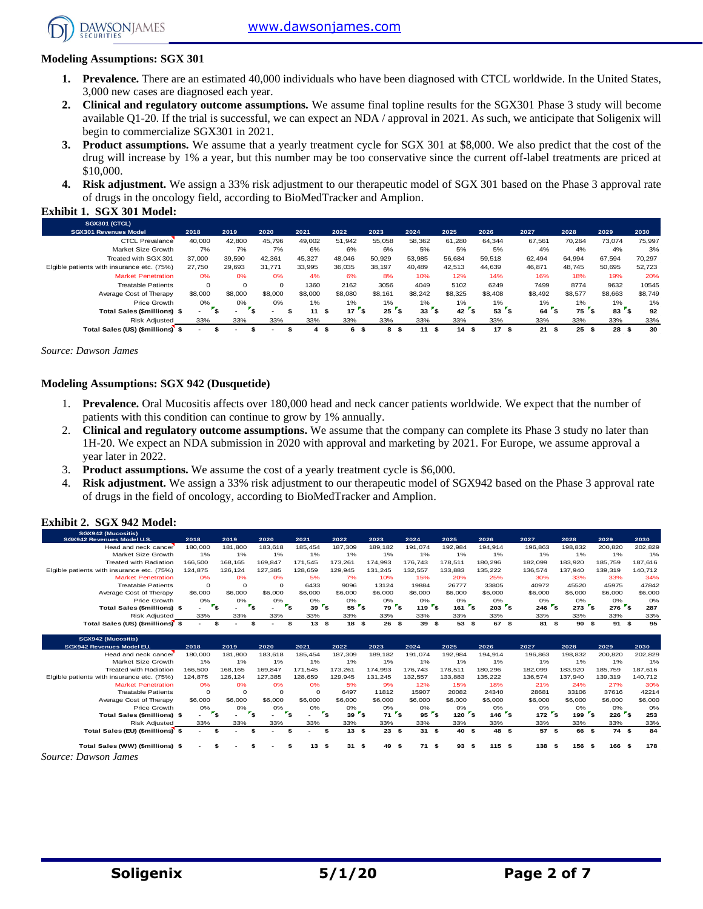[www.dawsonjames.com](http://www.dawsonjames.com/)



**DAWSONIAMES** 

**Exhibit 1. SGX 301 Model:** 

- **1. Prevalence.** There are an estimated 40,000 individuals who have been diagnosed with CTCL worldwide. In the United States, 3,000 new cases are diagnosed each year.
- **2. Clinical and regulatory outcome assumptions.** We assume final topline results for the SGX301 Phase 3 study will become available Q1-20. If the trial is successful, we can expect an NDA / approval in 2021. As such, we anticipate that Soligenix will begin to commercialize SGX301 in 2021.
- **3. Product assumptions.** We assume that a yearly treatment cycle for SGX 301 at \$8,000. We also predict that the cost of the drug will increase by 1% a year, but this number may be too conservative since the current off-label treatments are priced at \$10,000.
- **4. Risk adjustment.** We assign a 33% risk adjustment to our therapeutic model of SGX 301 based on the Phase 3 approval rate of drugs in the oncology field, according to BioMedTracker and Amplion.

| <b>SGX301 (CTCL)</b>                       |         |              |          |         |          |          |          |            |                   |         |          |            |            |
|--------------------------------------------|---------|--------------|----------|---------|----------|----------|----------|------------|-------------------|---------|----------|------------|------------|
| <b>SGX301 Revenues Model</b>               | 2018    | 2019         | 2020     | 2021    | 2022     | 2023     | 2024     | 2025       | 2026              | 2027    | 2028     | 2029       | 2030       |
| <b>CTCL Prevalance</b>                     | 40,000  | 42,800       | 45,796   | 49,002  | 51.942   | 55,058   | 58,362   | 61,280     | 64.344            | 67,561  | 70.264   | 73.074     | 75,997     |
| Market Size Growth                         | 7%      | 7%           | 7%       | 6%      | 6%       | 6%       | 5%       | 5%         | 5%                | 4%      | 4%       | 4%         | 3%         |
| Treated with SGX 301                       | 37.000  | 39.590       | 42.361   | 45.327  | 48.046   | 50,929   | 53,985   | 56,684     | 59.518            | 62.494  | 64.994   | 67.594     | 70,297     |
| Elgible patients with insurance etc. (75%) | 27.750  | 29.693       | 31.771   | 33.995  | 36.035   | 38.197   | 40.489   | 42.513     | 44.639            | 46.871  | 48.745   | 50.695     | 52,723     |
| <b>Market Penetration</b>                  | 0%      | 0%           | 0%       | 4%      | 6%       | 8%       | 10%      | 12%        | 14%               | 16%     | 18%      | 19%        | 20%        |
| <b>Treatable Patients</b>                  | 0       | 0            | $\Omega$ | 1360    | 2162     | 3056     | 4049     | 5102       | 6249              | 7499    | 8774     | 9632       | 10545      |
| Average Cost of Therapy                    | \$8,000 | \$8,000      | \$8,000  | \$8,000 | \$8,080  | \$8,161  | \$8,242  | \$8,325    | \$8,408           | \$8,492 | \$8,577  | \$8,663    | \$8,749    |
| Price Growth                               | 0%      | 0%           | 0%       | 1%      | $1\%$    | 1%       | $1\%$    | 1%         | 1%                | 1%      | $1\%$    | $1\%$      | 1%         |
| Total Sales (\$millions) \$                |         | \$<br>$\sim$ |          | 11      | 17<br>\$ | 25<br>่ร | 33       | 42         | <b>s</b><br>53    | 64      | 75       | 83<br>่ร   | 92         |
| <b>Risk Adiusted</b>                       | 33%     | 33%          | 33%      | 33%     | 33%      | 33%      | 33%      | 33%        | 33%               | 33%     | 33%      | 33%        | 33%        |
| Total Sales (US) (\$millions) \$           |         |              |          | 4       | \$<br>6  | 8<br>-35 | 11<br>\$ | - \$<br>14 | 17<br>- \$<br>56. | 21      | 25<br>£. | 28<br>- \$ | 30<br>- \$ |

*Source: Dawson James*

#### **Modeling Assumptions: SGX 942 (Dusquetide)**

- 1. **Prevalence.** Oral Mucositis affects over 180,000 head and neck cancer patients worldwide. We expect that the number of patients with this condition can continue to grow by 1% annually.
- 2. **Clinical and regulatory outcome assumptions.** We assume that the company can complete its Phase 3 study no later than 1H-20. We expect an NDA submission in 2020 with approval and marketing by 2021. For Europe, we assume approval a year later in 2022.
- 3. **Product assumptions.** We assume the cost of a yearly treatment cycle is \$6,000.
- 4. **Risk adjustment.** We assign a 33% risk adjustment to our therapeutic model of SGX942 based on the Phase 3 approval rate of drugs in the field of oncology, according to BioMedTracker and Amplion.

#### **Exhibit 2. SGX 942 Model:**

| SGX942 (Mucositis)<br>SGX942 Revenues Model U.S. | 2018                     | 2019     | 2020                                   | 2021      | 2022                                  | 2023                          | 2024                                  | 2025                             | 2026                                        | 2027      | 2028                               | 2029        | 2030    |
|--------------------------------------------------|--------------------------|----------|----------------------------------------|-----------|---------------------------------------|-------------------------------|---------------------------------------|----------------------------------|---------------------------------------------|-----------|------------------------------------|-------------|---------|
| Head and neck cancer                             | 180,000                  | 181,800  | 183.618                                | 185.454   | 187.309                               | 189,182                       | 191.074                               | 192.984                          | 194.914                                     | 196,863   | 198,832                            | 200.820     | 202,829 |
| Market Size Growth                               | 1%                       | 1%       | 1%                                     | 1%        | 1%                                    | 1%                            | 1%                                    | 1%                               | 1%                                          | 1%        | 1%                                 | 1%          | 1%      |
| <b>Treated with Radiation</b>                    | 166,500                  | 168.165  | 169.847                                | 171.545   | 173.261                               | 174.993                       | 176.743                               | 178.511                          | 180.296                                     | 182.099   | 183.920                            | 185,759     | 187.616 |
| Elgible patients with insurance etc. (75%)       | 124,875                  | 126,124  | 127,385                                | 128,659   | 129,945                               | 131,245                       | 132,557                               | 133,883                          | 135,222                                     | 136,574   | 137,940                            | 139,319     | 140,712 |
| <b>Market Penetration</b>                        | 0%                       | 0%       | 0%                                     | 5%        | 7%                                    | 10%                           | 15%                                   | 20%                              | 25%                                         | 30%       | 33%                                | 33%         | 34%     |
| <b>Treatable Patients</b>                        | $\Omega$                 | $\Omega$ | $\Omega$                               | 6433      | 9096                                  | 13124                         | 19884                                 | 26777                            | 33805                                       | 40972     | 45520                              | 45975       | 47842   |
| Average Cost of Therapy                          | \$6,000                  | \$6,000  | \$6,000                                | \$6,000   | \$6,000                               | \$6,000                       | \$6,000                               | \$6,000                          | \$6,000                                     | \$6,000   | \$6,000                            | \$6,000     | \$6,000 |
| Price Growth                                     | 0%                       | 0%       | 0%                                     | 0%        | 0%                                    | 0%                            | 0%                                    | 0%                               | 0%                                          | 0%        | 0%                                 | 0%          | O%      |
| <b>Total Sales (\$millions) \$</b>               |                          | ۰,       | $r_{s}$<br>$\mathbf{r}_\mathbf{s}$     | 39        | $55$ $s$<br>$\mathbf{r}_{\mathsf{S}}$ | 79                            | $1197$ s<br>$\mathbf{r}_{\mathbf{S}}$ | $161$ s                          | $203$ s                                     | 246       | $273$ s<br>$\mathbf{r}_\mathbf{s}$ | $276$ s     | 287     |
| <b>Risk Adjusted</b>                             | 33%                      | 33%      | 33%                                    | 33%       | 33%                                   | 33%                           | 33%                                   | 33%                              | 33%                                         | 33%       | 33%                                | 33%         | 33%     |
| Total Sales (US) (\$millions) \$                 | $\overline{\phantom{a}}$ | \$       | \$                                     | 13S<br>\$ | 18S                                   | 26                            | 39S<br>\$                             | 53 \$                            | 67 \$                                       | 81 \$     | 90                                 | 91S<br>\$   | 95      |
|                                                  |                          |          |                                        |           |                                       |                               |                                       |                                  |                                             |           |                                    |             |         |
| SGX942 (Mucositis)                               |                          |          |                                        |           |                                       |                               |                                       |                                  |                                             |           |                                    |             |         |
|                                                  |                          |          |                                        |           |                                       |                               |                                       |                                  |                                             |           |                                    |             |         |
| SGX942 Revenues Model EU.                        | 2018                     | 2019     | 2020                                   | 2021      | 2022                                  | 2023                          | 2024                                  | 2025                             | 2026                                        | 2027      | 2028                               | 2029        | 2030    |
| Head and neck cancer                             | 180,000                  | 181,800  | 183,618                                | 185,454   | 187,309                               | 189,182                       | 191,074                               | 192,984                          | 194,914                                     | 196,863   | 198,832                            | 200,820     | 202,829 |
| Market Size Growth                               | 1%                       | 1%       | 1%                                     | 1%        | 1%                                    | 1%                            | 1%                                    | 1%                               | 1%                                          | 1%        | 1%                                 | 1%          | 1%      |
| <b>Treated with Radiation</b>                    | 166,500                  | 168,165  | 169,847                                | 171.545   | 173.261                               | 174,993                       | 176,743                               | 178,511                          | 180,296                                     | 182,099   | 183,920                            | 185,759     | 187,616 |
| Elgible patients with insurance etc. (75%)       | 124,875                  | 126,124  | 127.385                                | 128.659   | 129.945                               | 131.245                       | 132,557                               | 133,883                          | 135,222                                     | 136,574   | 137,940                            | 139,319     | 140,712 |
| <b>Market Penetration</b>                        | 0%                       | 0%       | 0%                                     | 0%        | 5%                                    | 9%                            | 12%                                   | 15%                              | 18%                                         | 21%       | 24%                                | 27%         | 30%     |
| <b>Treatable Patients</b>                        | $\Omega$                 | $\Omega$ | $\Omega$                               | $\Omega$  | 6497                                  | 11812                         | 15907                                 | 20082                            | 24340                                       | 28681     | 33106                              | 37616       | 42214   |
| Average Cost of Therapy                          | \$6,000                  | \$6,000  | \$6,000                                | \$6,000   | \$6,000                               | \$6,000                       | \$6,000                               | \$6,000                          | \$6,000                                     | \$6,000   | \$6,000                            | \$6,000     | \$6,000 |
| Price Growth                                     | 0%                       | 0%       | 0%                                     | O%        | 0%                                    | 0%                            | 0%                                    | 0%                               | 0%                                          | 0%        | 0%                                 | 0%          | O%      |
| Total Sales (\$millions) \$                      | $\overline{\phantom{0}}$ | ۰,       | $\mathbf{r}_\mathbf{s}$<br>$r_{\rm s}$ |           | $r_{s}$<br>39                         | $\mathbf{r}_\mathbf{S}$<br>71 | $\mathbf{r}_{\mathbf{S}}$<br>95       | $\mathbf{r}_{\mathbf{s}}$<br>120 | $\mathbf{r}_{\mathbf{s}}$<br>$146^\circ$ \$ | $172$ s   | 199 <sup>5</sup>                   | $226$ s     | 253     |
| <b>Risk Adjusted</b>                             | 33%                      | 33%      | 33%                                    | 33%       | 33%                                   | 33%                           | 33%                                   | 33%                              | 33%                                         | 33%       | 33%                                | 33%         | 33%     |
| Total Sales (EU) (\$millions) \$                 |                          |          | \$                                     | \$        | 13S<br>\$                             | 23                            | \$<br>31S                             | 40 \$                            | 48                                          | 57S<br>\$ | 66                                 | \$<br>74 \$ | 84      |

*Source: Dawson James*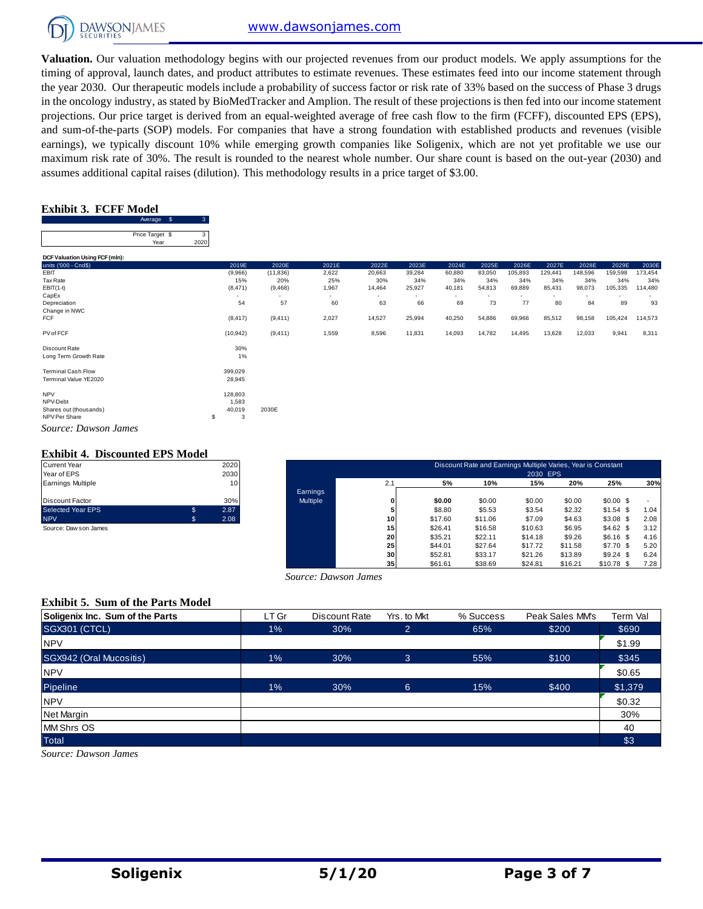

**Valuation.** Our valuation methodology begins with our projected revenues from our product models. We apply assumptions for the timing of approval, launch dates, and product attributes to estimate revenues. These estimates feed into our income statement through the year 2030. Our therapeutic models include a probability of success factor or risk rate of 33% based on the success of Phase 3 drugs in the oncology industry, as stated by BioMedTracker and Amplion. The result of these projections is then fed into our income statement projections. Our price target is derived from an equal-weighted average of free cash flow to the firm (FCFF), discounted EPS (EPS), and sum-of-the-parts (SOP) models. For companies that have a strong foundation with established products and revenues (visible earnings), we typically discount 10% while emerging growth companies like Soligenix, which are not yet profitable we use our maximum risk rate of 30%. The result is rounded to the nearest whole number. Our share count is based on the out-year (2030) and assumes additional capital raises (dilution). This methodology results in a price target of \$3.00.

#### **Exhibit 3. FCFF Model**

|                                | Average         | ß. |      |
|--------------------------------|-----------------|----|------|
|                                |                 |    |      |
|                                | Price Target \$ |    |      |
|                                | Year            |    | 2020 |
|                                |                 |    |      |
| DCF Valuation Using FCF (mln): |                 |    |      |
| units ('000 - Cnd\$)           |                 |    |      |
| FBI                            |                 |    |      |

| <b>TEdi</b>                    | ZUZU |                          |           |        |        |                          |        |                          |         |                          |         |         |         |
|--------------------------------|------|--------------------------|-----------|--------|--------|--------------------------|--------|--------------------------|---------|--------------------------|---------|---------|---------|
| DCF Valuation Using FCF (mln): |      |                          |           |        |        |                          |        |                          |         |                          |         |         |         |
| units ('000 - Cnd\$)           |      | 2019E                    | 2020E     | 2021E  | 2022E  | 2023E                    | 2024E  | 2025E                    | 2026E   | 2027E                    | 2028E   | 2029E   | 2030E   |
| EBIT                           |      | (9,966)                  | (11, 836) | 2,622  | 20,663 | 39,284                   | 60,880 | 83,050                   | 105,893 | 129,441                  | 148,596 | 159,598 | 173,454 |
| Tax Rate                       |      | 15%                      | 20%       | 25%    | 30%    | 34%                      | 34%    | 34%                      | 34%     | 34%                      | 34%     | 34%     | 34%     |
| $EBIT(1-t)$                    |      | (8, 471)                 | (9,468)   | 1,967  | 14,464 | 25,927                   | 40,181 | 54,813                   | 69,889  | 85,431                   | 98,073  | 105,335 | 114,480 |
| CapEx                          |      | $\overline{\phantom{a}}$ |           | $\sim$ | ٠      | $\overline{\phantom{0}}$ | $\sim$ | $\overline{\phantom{a}}$ |         | $\overline{\phantom{0}}$ |         |         |         |
| Depreciation                   |      | 54                       | 57        | 60     | 63     | 66                       | 69     | 73                       | 77      | 80                       | 84      | 89      | 93      |
| Change in NWC                  |      |                          |           |        |        |                          |        |                          |         |                          |         |         |         |
| FCF                            |      | (8, 417)                 | (9, 411)  | 2,027  | 14,527 | 25,994                   | 40,250 | 54,886                   | 69,966  | 85,512                   | 98,158  | 105,424 | 114,573 |
| PV of FCF                      |      | (10, 942)                | (9, 411)  | 1,559  | 8,596  | 11,831                   | 14,093 | 14,782                   | 14,495  | 13,628                   | 12,033  | 9,941   | 8,311   |
| Discount Rate                  |      | 30%                      |           |        |        |                          |        |                          |         |                          |         |         |         |
| Long Term Growth Rate          |      | 1%                       |           |        |        |                          |        |                          |         |                          |         |         |         |
| <b>Terminal Cash Flow</b>      |      | 399,029                  |           |        |        |                          |        |                          |         |                          |         |         |         |
| Terminal Value YE2020          |      | 28,945                   |           |        |        |                          |        |                          |         |                          |         |         |         |
| <b>NPV</b>                     |      | 128,803                  |           |        |        |                          |        |                          |         |                          |         |         |         |
| NPV-Debt                       |      | 1,583                    |           |        |        |                          |        |                          |         |                          |         |         |         |
| Shares out (thousands)         |      | 40,019                   | 2030E     |        |        |                          |        |                          |         |                          |         |         |         |
| NPV Per Share                  | \$   | 3                        |           |        |        |                          |        |                          |         |                          |         |         |         |
| Source: Dawson James           |      |                          |           |        |        |                          |        |                          |         |                          |         |         |         |

#### **Exhibit 4. Discounted EPS Model**

| <b>Current Year</b>      |    | 2020 |
|--------------------------|----|------|
| Year of EPS              |    | 2030 |
| <b>Earnings Multiple</b> |    | 10   |
|                          |    |      |
| Discount Factor          |    | 30%  |
| <b>Selected Year EPS</b> | \$ | 2.87 |
| <b>NPV</b>               | S. | 2.08 |
| Source: Daw son James    |    |      |

| Current Year          |    | 2020 |                 |                 |         | Discount Rate and Earnings Multiple Varies, Year is Constant |          |         |             |      |
|-----------------------|----|------|-----------------|-----------------|---------|--------------------------------------------------------------|----------|---------|-------------|------|
| Year of EPS           |    | 2030 |                 |                 |         |                                                              | 2030 EPS |         |             |      |
| Earnings Multiple     |    | 10   |                 | 2.1             | 5%      | 10%                                                          | 15%      | 20%     | 25%         | 30%  |
|                       |    |      | Earnings        |                 |         |                                                              |          |         |             |      |
| Discount Factor       |    | 30%  | <b>Multiple</b> | 0               | \$0.00  | \$0.00                                                       | \$0.00   | \$0.00  | $$0.00$ \$  |      |
| Selected Year EPS     |    | 2.87 |                 | 5               | \$8.80  | \$5.53                                                       | \$3.54   | \$2.32  | $$1.54$ \$  | 1.04 |
| <b>NPV</b>            | S. | 2.08 |                 | 10 <sup>1</sup> | \$17.60 | \$11.06                                                      | \$7.09   | \$4.63  | $$3.08$ \$  | 2.08 |
| Source: Daw son James |    |      |                 | 15              | \$26.41 | \$16.58                                                      | \$10.63  | \$6.95  | \$4.62\$    | 3.12 |
|                       |    |      |                 | 20              | \$35.21 | \$22.11                                                      | \$14.18  | \$9.26  | $$6.16$ \$  | 4.16 |
|                       |    |      |                 | 25 <sub>1</sub> | \$44.01 | \$27.64                                                      | \$17.72  | \$11.58 | $$7.70$ \$  | 5.20 |
|                       |    |      |                 | 30 <sup>1</sup> | \$52.81 | \$33.17                                                      | \$21.26  | \$13.89 | $$9.24$ \$  | 6.24 |
|                       |    |      |                 | 35 <sub>1</sub> | \$61.61 | \$38.69                                                      | \$24.81  | \$16.21 | $$10.78$ \$ | 7.28 |

#### **Exhibit 5. Sum of the Parts Model**

| Source: Dawson James                     |       |               |                |           |                 |          |  |  |  |  |  |  |  |
|------------------------------------------|-------|---------------|----------------|-----------|-----------------|----------|--|--|--|--|--|--|--|
| <b>Exhibit 5. Sum of the Parts Model</b> |       |               |                |           |                 |          |  |  |  |  |  |  |  |
| Soligenix Inc. Sum of the Parts          | LT Gr | Discount Rate | Yrs. to Mkt    | % Success | Peak Sales MM's | Term Val |  |  |  |  |  |  |  |
| <b>SGX301 (CTCL)</b>                     | 1%    | 30%           | $\overline{2}$ | 65%       | \$200           | \$690    |  |  |  |  |  |  |  |
| <b>NPV</b>                               |       |               |                |           |                 | \$1.99   |  |  |  |  |  |  |  |
| SGX942 (Oral Mucositis)                  | $1\%$ | 30%           | 3              | 55%       | \$100           | \$345    |  |  |  |  |  |  |  |
| <b>NPV</b>                               |       |               |                |           |                 | \$0.65   |  |  |  |  |  |  |  |
| Pipeline                                 | 1%    | 30%           | 6              | 15%       | \$400           | \$1,379  |  |  |  |  |  |  |  |
| <b>NPV</b>                               |       |               |                |           |                 | \$0.32   |  |  |  |  |  |  |  |
| Net Margin                               |       |               |                |           |                 | 30%      |  |  |  |  |  |  |  |
| <b>MM Shrs OS</b>                        |       |               |                |           |                 | 40       |  |  |  |  |  |  |  |
| Total                                    |       |               |                |           |                 | \$3      |  |  |  |  |  |  |  |
| Source: Dawson James                     |       |               |                |           |                 |          |  |  |  |  |  |  |  |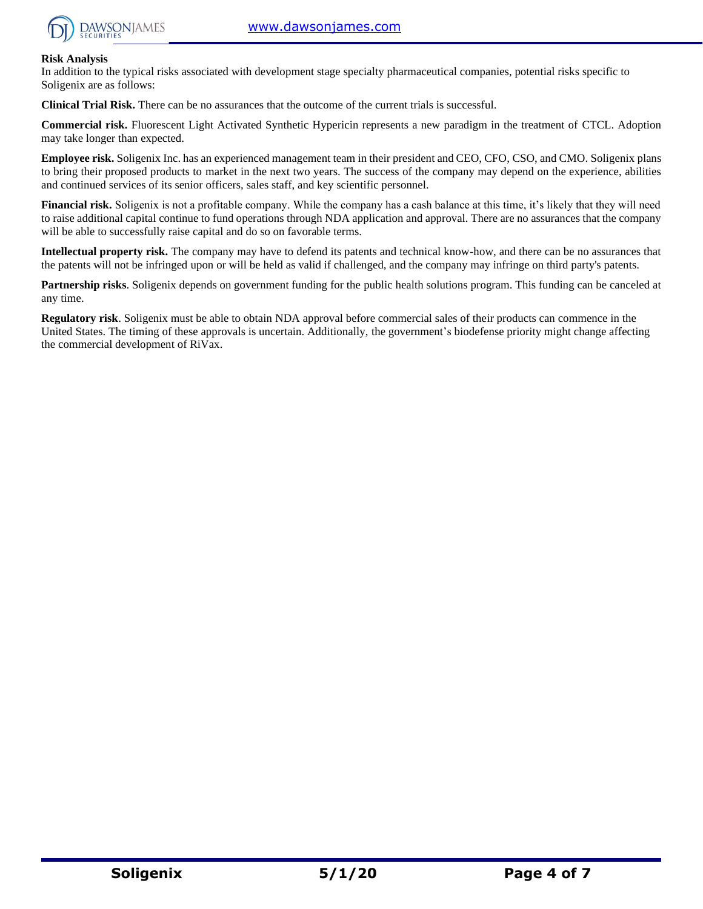

#### **Risk Analysis**

In addition to the typical risks associated with development stage specialty pharmaceutical companies, potential risks specific to Soligenix are as follows:

**Clinical Trial Risk.** There can be no assurances that the outcome of the current trials is successful.

**Commercial risk.** Fluorescent Light Activated Synthetic Hypericin represents a new paradigm in the treatment of CTCL. Adoption may take longer than expected.

**Employee risk.** Soligenix Inc. has an experienced management team in their president and CEO, CFO, CSO, and CMO. Soligenix plans to bring their proposed products to market in the next two years. The success of the company may depend on the experience, abilities and continued services of its senior officers, sales staff, and key scientific personnel.

**Financial risk.** Soligenix is not a profitable company. While the company has a cash balance at this time, it's likely that they will need to raise additional capital continue to fund operations through NDA application and approval. There are no assurances that the company will be able to successfully raise capital and do so on favorable terms.

**Intellectual property risk.** The company may have to defend its patents and technical know-how, and there can be no assurances that the patents will not be infringed upon or will be held as valid if challenged, and the company may infringe on third party's patents.

**Partnership risks**. Soligenix depends on government funding for the public health solutions program. This funding can be canceled at any time.

**Regulatory risk**. Soligenix must be able to obtain NDA approval before commercial sales of their products can commence in the United States. The timing of these approvals is uncertain. Additionally, the government's biodefense priority might change affecting the commercial development of RiVax.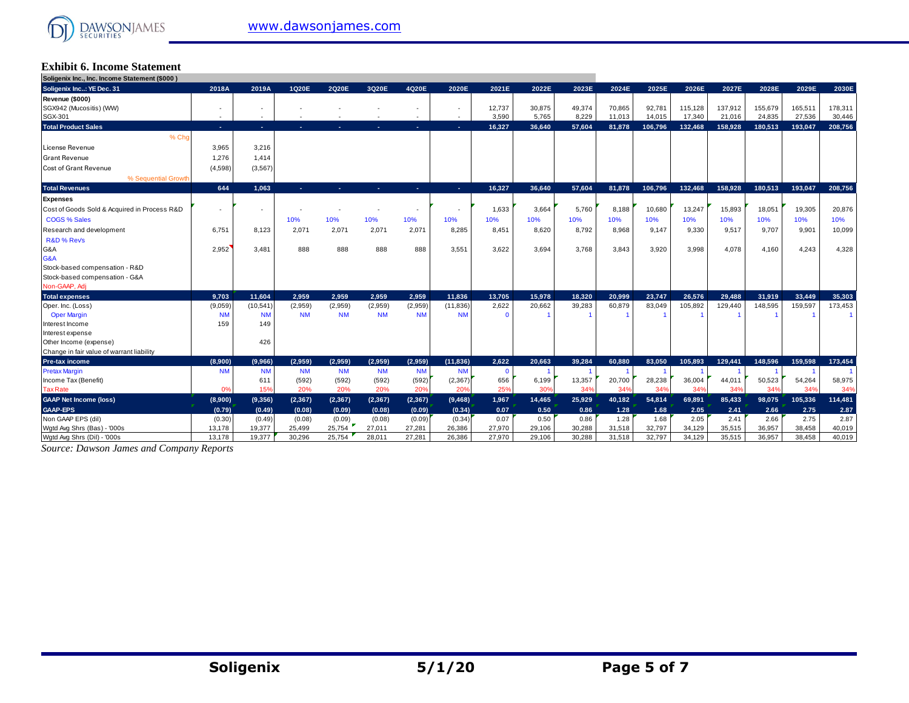

#### **Exhibit 6. Income Statement Soligenix Inc., Inc. Income Statement (\$000 )**

| Sougenix inc., inc. income statement (\$000) |                          |                          |           |           |           |           |                          |          |        |        |        |         |         |         |         |         |         |
|----------------------------------------------|--------------------------|--------------------------|-----------|-----------|-----------|-----------|--------------------------|----------|--------|--------|--------|---------|---------|---------|---------|---------|---------|
| Soligenix Inc: YE Dec. 31                    | 2018A                    | 2019A                    | 1Q20E     | 2020E     | 3Q20E     | 4Q20E     | 2020E                    | 2021E    | 2022E  | 2023E  | 2024E  | 2025E   | 2026E   | 2027E   | 2028E   | 2029E   | 2030E   |
| Revenue (\$000)                              |                          |                          |           |           |           |           |                          |          |        |        |        |         |         |         |         |         |         |
| SGX942 (Mucositis) (WW)                      | ٠                        | ٠                        |           |           |           | ٠         | ٠                        | 12,737   | 30,875 | 49,374 | 70,865 | 92,781  | 115,128 | 137.912 | 155,679 | 165.511 | 178,311 |
| SGX-301                                      | $\overline{\phantom{a}}$ | $\overline{\phantom{a}}$ |           |           |           | $\sim$    | $\overline{\phantom{a}}$ | 3,590    | 5,765  | 8,229  | 11,013 | 14,015  | 17,340  | 21,016  | 24,835  | 27,536  | 30,446  |
| <b>Total Product Sales</b>                   | х.                       | $\sim$                   | ×.        |           |           | х.        | <b>A</b>                 | 16,327   | 36.640 | 57.604 | 81,878 | 106,796 | 132,468 | 158.928 | 180,513 | 193,047 | 208,756 |
| % Cho                                        |                          |                          |           |           |           |           |                          |          |        |        |        |         |         |         |         |         |         |
| <b>License Revenue</b>                       | 3,965                    | 3,216                    |           |           |           |           |                          |          |        |        |        |         |         |         |         |         |         |
| <b>Grant Revenue</b>                         | 1,276                    | 1,414                    |           |           |           |           |                          |          |        |        |        |         |         |         |         |         |         |
| <b>Cost of Grant Revenue</b>                 | (4,598)                  | (3, 567)                 |           |           |           |           |                          |          |        |        |        |         |         |         |         |         |         |
| % Sequential Growth                          |                          |                          |           |           |           |           |                          |          |        |        |        |         |         |         |         |         |         |
| <b>Total Revenues</b>                        | 644                      | 1.063                    | ×.        | н.        | ъ.        | ÷.        | х.                       | 16,327   | 36,640 | 57,604 | 81,878 | 106,796 | 132,468 | 158,928 | 180,513 | 193,047 | 208,756 |
| <b>Expenses</b>                              |                          |                          |           |           |           |           |                          |          |        |        |        |         |         |         |         |         |         |
| Cost of Goods Sold & Acquired in Process R&D |                          | ÷                        |           |           |           |           |                          | 1,633    | 3,664  | 5.760  | 8.188  | 10,680  | 13,247  | 15,893  | 18,051  | 19,305  | 20,876  |
| <b>COGS % Sales</b>                          |                          |                          | 10%       | 10%       | 10%       | 10%       | 10%                      | 10%      | 10%    | 10%    | 10%    | 10%     | 10%     | 10%     | 10%     | 10%     | 10%     |
| Research and development                     | 6.751                    | 8.123                    | 2.071     | 2.071     | 2,071     | 2,071     | 8.285                    | 8.451    | 8.620  | 8.792  | 8.968  | 9,147   | 9.330   | 9.517   | 9.707   | 9.901   | 10,099  |
| R&D % Rev's                                  |                          |                          |           |           |           |           |                          |          |        |        |        |         |         |         |         |         |         |
| G&A                                          | 2,952                    | 3.481                    | 888       | 888       | 888       | 888       | 3.551                    | 3,622    | 3.694  | 3.768  | 3.843  | 3,920   | 3.998   | 4.078   | 4,160   | 4.243   | 4,328   |
| G&A                                          |                          |                          |           |           |           |           |                          |          |        |        |        |         |         |         |         |         |         |
| Stock-based compensation - R&D               |                          |                          |           |           |           |           |                          |          |        |        |        |         |         |         |         |         |         |
| Stock-based compensation - G&A               |                          |                          |           |           |           |           |                          |          |        |        |        |         |         |         |         |         |         |
| Non-GAAP, Adj                                |                          |                          |           |           |           |           |                          |          |        |        |        |         |         |         |         |         |         |
| <b>Total expenses</b>                        | 9.703                    | 11.604                   | 2.959     | 2.959     | 2.959     | 2.959     | 11.836                   | 13.705   | 15.978 | 18.320 | 20.999 | 23.747  | 26.576  | 29.488  | 31.919  | 33.449  | 35.303  |
| Oper. Inc. (Loss)                            | (9,059)                  | (10, 541)                | (2,959)   | (2,959)   | (2,959)   | (2,959)   | (11, 836)                | 2,622    | 20,662 | 39,283 | 60,879 | 83,049  | 105,892 | 129,440 | 148,595 | 159,597 | 173,453 |
| <b>Oper Margin</b>                           | <b>NM</b>                | <b>NM</b>                | <b>NM</b> | <b>NM</b> | <b>NM</b> | <b>NM</b> | <b>NM</b>                | $\Omega$ |        |        |        |         |         |         |         |         |         |
| Interest Income                              | 159                      | 149                      |           |           |           |           |                          |          |        |        |        |         |         |         |         |         |         |
| Interest expense                             |                          |                          |           |           |           |           |                          |          |        |        |        |         |         |         |         |         |         |
| Other Income (expense)                       |                          | 426                      |           |           |           |           |                          |          |        |        |        |         |         |         |         |         |         |
| Change in fair value of warrant liability    |                          |                          |           |           |           |           |                          |          |        |        |        |         |         |         |         |         |         |
| Pre-tax income                               | (8,900)                  | (9,966)                  | (2.959)   | (2.959)   | (2.959)   | (2.959)   | (11, 836)                | 2.622    | 20.663 | 39.284 | 60.880 | 83.050  | 105.893 | 129.441 | 148.596 | 159.598 | 173,454 |
| <b>Pretax Margin</b>                         | <b>NM</b>                | <b>NM</b>                | <b>NM</b> | <b>NM</b> | <b>NM</b> | <b>NM</b> | <b>NM</b>                | $\Omega$ |        |        |        |         |         |         |         |         |         |
| Income Tax (Benefit)                         |                          | 611                      | (592)     | (592)     | (592)     | (592)     | (2, 367)                 | 656      | 6,199  | 13,357 | 20,700 | 28,238  | 36,004  | 44,011  | 50,523  | 54,264  | 58,975  |
| <b>Tax Rate</b>                              | 0%                       | 15%                      | 20%       | 20%       | 20%       | 20%       | 20%                      | 25%      | 30%    | 349    | 34%    | 34%     | 34%     | 34%     | 34%     | 34%     | 34%     |
| <b>GAAP Net Income (loss)</b>                | (8,900)                  | (9,356)                  | (2, 367)  | (2, 367)  | (2, 367)  | (2, 367)  | (9, 468)                 | 1,967    | 14,465 | 25,929 | 40,182 | 54,814  | 69,891  | 85,433  | 98,075  | 105,336 | 114,481 |
| <b>GAAP-EPS</b>                              | (0.79)                   | (0.49)                   | (0.08)    | (0.09)    | (0.08)    | (0.09)    | (0.34)                   | 0.07     | 0.50   | 0.86   | 1.28   | 1.68    | 2.05    | 2.41    | 2.66    | 2.75    | 2.87    |
| Non GAAP EPS (dil)                           | (0.30)                   | (0.49)                   | (0.08)    | (0.09)    | (0.08)    | (0.09)    | (0.34)                   | 0.07     | 0.50   | 0.86   | 1.28   | 1.68    | 2.05    | 2.41    | 2.66    | 2.75    | 2.87    |
| Wotd Avg Shrs (Bas) - '000s                  | 13,178                   | 19,377                   | 25,499    | 25,754    | 27,011    | 27,281    | 26,386                   | 27,970   | 29,106 | 30,288 | 31,518 | 32,797  | 34,129  | 35,515  | 36,957  | 38,458  | 40,019  |
| Watd Ava Shrs (Dil) - '000s                  | 13.178                   | 19.377                   | 30.296    | 25.754    | 28.011    | 27.281    | 26.386                   | 27.970   | 29.106 | 30.288 | 31.518 | 32.797  | 34.129  | 35.515  | 36.957  | 38.458  | 40.019  |

*Source: Dawson James and Company Reports*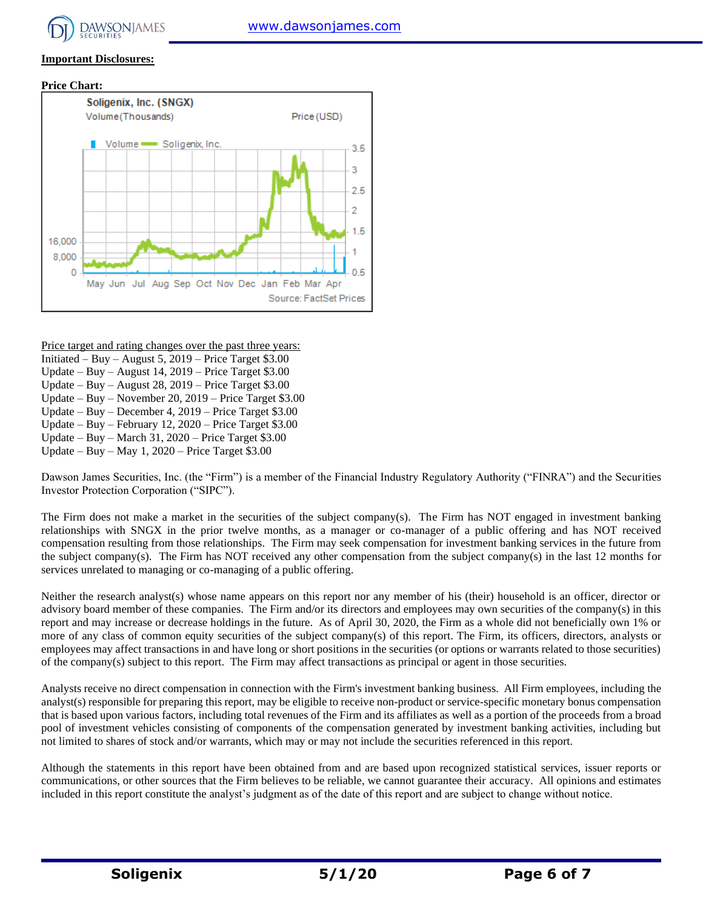### **Important Disclosures:**





Price target and rating changes over the past three years:

- Initiated Buy August 5, 2019 Price Target \$3.00
- Update Buy August 14, 2019 Price Target \$3.00
- Update Buy August 28, 2019 Price Target \$3.00
- Update Buy November 20, 2019 Price Target \$3.00
- Update Buy December 4, 2019 Price Target \$3.00 Update – Buy – February 12, 2020 – Price Target \$3.00
- Update Buy March 31, 2020 Price Target \$3.00
- Update Buy May 1, 2020 Price Target \$3.00

Dawson James Securities, Inc. (the "Firm") is a member of the Financial Industry Regulatory Authority ("FINRA") and the Securities Investor Protection Corporation ("SIPC").

The Firm does not make a market in the securities of the subject company(s). The Firm has NOT engaged in investment banking relationships with SNGX in the prior twelve months, as a manager or co-manager of a public offering and has NOT received compensation resulting from those relationships. The Firm may seek compensation for investment banking services in the future from the subject company(s). The Firm has NOT received any other compensation from the subject company(s) in the last 12 months for services unrelated to managing or co-managing of a public offering.

Neither the research analyst(s) whose name appears on this report nor any member of his (their) household is an officer, director or advisory board member of these companies. The Firm and/or its directors and employees may own securities of the company(s) in this report and may increase or decrease holdings in the future. As of April 30, 2020, the Firm as a whole did not beneficially own 1% or more of any class of common equity securities of the subject company(s) of this report. The Firm, its officers, directors, analysts or employees may affect transactions in and have long or short positions in the securities (or options or warrants related to those securities) of the company(s) subject to this report. The Firm may affect transactions as principal or agent in those securities.

Analysts receive no direct compensation in connection with the Firm's investment banking business. All Firm employees, including the analyst(s) responsible for preparing this report, may be eligible to receive non-product or service-specific monetary bonus compensation that is based upon various factors, including total revenues of the Firm and its affiliates as well as a portion of the proceeds from a broad pool of investment vehicles consisting of components of the compensation generated by investment banking activities, including but not limited to shares of stock and/or warrants, which may or may not include the securities referenced in this report.

Although the statements in this report have been obtained from and are based upon recognized statistical services, issuer reports or communications, or other sources that the Firm believes to be reliable, we cannot guarantee their accuracy. All opinions and estimates included in this report constitute the analyst's judgment as of the date of this report and are subject to change without notice.